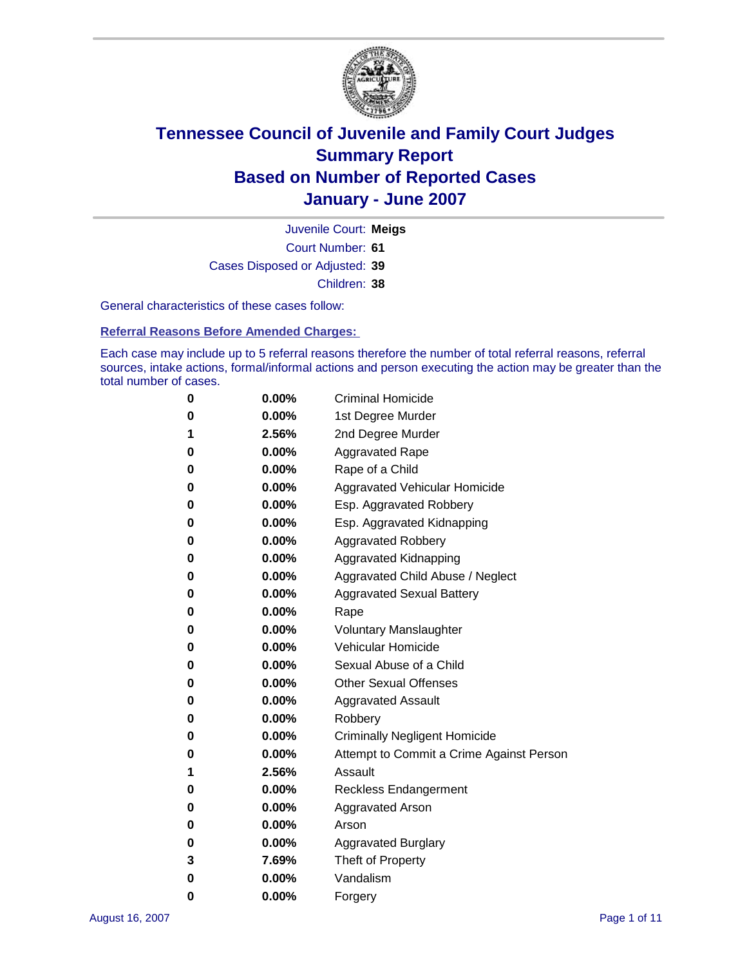

Court Number: **61** Juvenile Court: **Meigs** Cases Disposed or Adjusted: **39** Children: **38**

General characteristics of these cases follow:

**Referral Reasons Before Amended Charges:** 

Each case may include up to 5 referral reasons therefore the number of total referral reasons, referral sources, intake actions, formal/informal actions and person executing the action may be greater than the total number of cases.

| 0 | $0.00\%$ | <b>Criminal Homicide</b>                 |  |  |  |
|---|----------|------------------------------------------|--|--|--|
| 0 | 0.00%    | 1st Degree Murder                        |  |  |  |
| 1 | 2.56%    | 2nd Degree Murder                        |  |  |  |
| 0 | $0.00\%$ | <b>Aggravated Rape</b>                   |  |  |  |
| 0 | 0.00%    | Rape of a Child                          |  |  |  |
| 0 | 0.00%    | Aggravated Vehicular Homicide            |  |  |  |
| 0 | $0.00\%$ | Esp. Aggravated Robbery                  |  |  |  |
| 0 | $0.00\%$ | Esp. Aggravated Kidnapping               |  |  |  |
| 0 | 0.00%    | <b>Aggravated Robbery</b>                |  |  |  |
| 0 | $0.00\%$ | Aggravated Kidnapping                    |  |  |  |
| 0 | $0.00\%$ | Aggravated Child Abuse / Neglect         |  |  |  |
| 0 | $0.00\%$ | <b>Aggravated Sexual Battery</b>         |  |  |  |
| 0 | 0.00%    | Rape                                     |  |  |  |
| 0 | 0.00%    | <b>Voluntary Manslaughter</b>            |  |  |  |
| 0 | $0.00\%$ | Vehicular Homicide                       |  |  |  |
| 0 | 0.00%    | Sexual Abuse of a Child                  |  |  |  |
| 0 | $0.00\%$ | <b>Other Sexual Offenses</b>             |  |  |  |
| 0 | 0.00%    | <b>Aggravated Assault</b>                |  |  |  |
| 0 | $0.00\%$ | Robbery                                  |  |  |  |
| 0 | $0.00\%$ | <b>Criminally Negligent Homicide</b>     |  |  |  |
| 0 | $0.00\%$ | Attempt to Commit a Crime Against Person |  |  |  |
| 1 | 2.56%    | Assault                                  |  |  |  |
| 0 | 0.00%    | <b>Reckless Endangerment</b>             |  |  |  |
| 0 | $0.00\%$ | <b>Aggravated Arson</b>                  |  |  |  |
| 0 | $0.00\%$ | Arson                                    |  |  |  |
| 0 | $0.00\%$ | <b>Aggravated Burglary</b>               |  |  |  |
| 3 | 7.69%    | Theft of Property                        |  |  |  |
| 0 | $0.00\%$ | Vandalism                                |  |  |  |
| 0 | 0.00%    | Forgery                                  |  |  |  |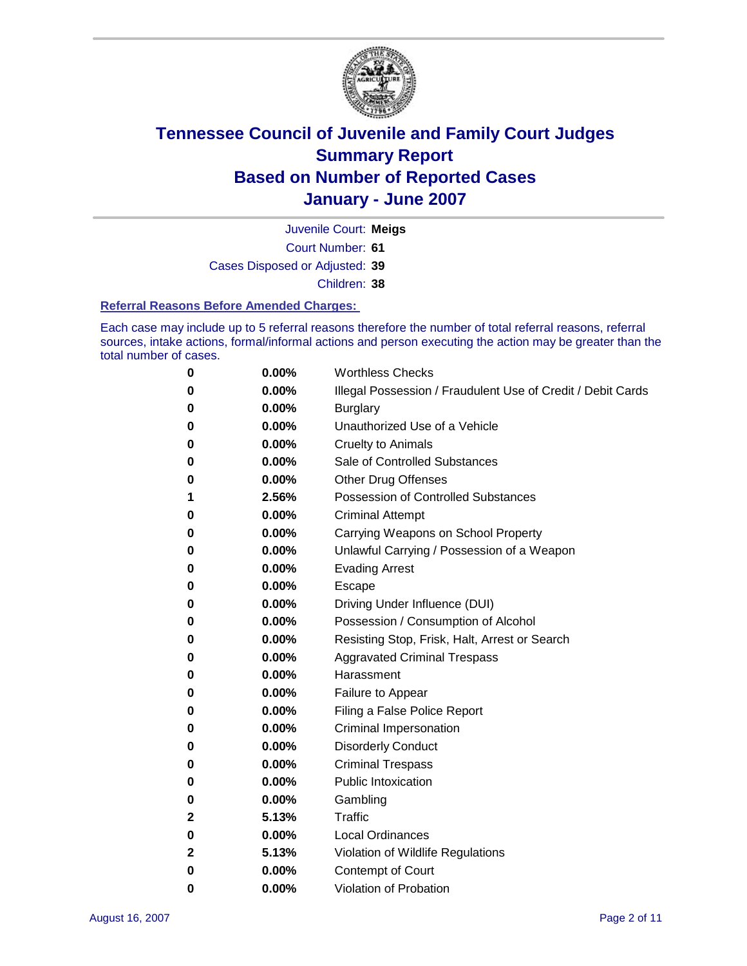

Court Number: **61** Juvenile Court: **Meigs** Cases Disposed or Adjusted: **39** Children: **38**

#### **Referral Reasons Before Amended Charges:**

Each case may include up to 5 referral reasons therefore the number of total referral reasons, referral sources, intake actions, formal/informal actions and person executing the action may be greater than the total number of cases.

| 0 | 0.00%    | <b>Worthless Checks</b>                                     |
|---|----------|-------------------------------------------------------------|
| 0 | 0.00%    | Illegal Possession / Fraudulent Use of Credit / Debit Cards |
| 0 | 0.00%    | <b>Burglary</b>                                             |
| 0 | $0.00\%$ | Unauthorized Use of a Vehicle                               |
| 0 | 0.00%    | <b>Cruelty to Animals</b>                                   |
| 0 | 0.00%    | Sale of Controlled Substances                               |
| 0 | 0.00%    | <b>Other Drug Offenses</b>                                  |
| 1 | 2.56%    | Possession of Controlled Substances                         |
| 0 | 0.00%    | <b>Criminal Attempt</b>                                     |
| 0 | 0.00%    | Carrying Weapons on School Property                         |
| 0 | 0.00%    | Unlawful Carrying / Possession of a Weapon                  |
| 0 | 0.00%    | <b>Evading Arrest</b>                                       |
| 0 | 0.00%    | Escape                                                      |
| 0 | 0.00%    | Driving Under Influence (DUI)                               |
| 0 | 0.00%    | Possession / Consumption of Alcohol                         |
| 0 | 0.00%    | Resisting Stop, Frisk, Halt, Arrest or Search               |
| 0 | $0.00\%$ | <b>Aggravated Criminal Trespass</b>                         |
| 0 | 0.00%    | Harassment                                                  |
| 0 | 0.00%    | Failure to Appear                                           |
| 0 | 0.00%    | Filing a False Police Report                                |
| 0 | 0.00%    | Criminal Impersonation                                      |
| 0 | 0.00%    | <b>Disorderly Conduct</b>                                   |
| 0 | 0.00%    | <b>Criminal Trespass</b>                                    |
| 0 | $0.00\%$ | <b>Public Intoxication</b>                                  |
| 0 | 0.00%    | Gambling                                                    |
| 2 | 5.13%    | Traffic                                                     |
| 0 | 0.00%    | <b>Local Ordinances</b>                                     |
| 2 | 5.13%    | Violation of Wildlife Regulations                           |
| 0 | 0.00%    | <b>Contempt of Court</b>                                    |
| 0 | 0.00%    | Violation of Probation                                      |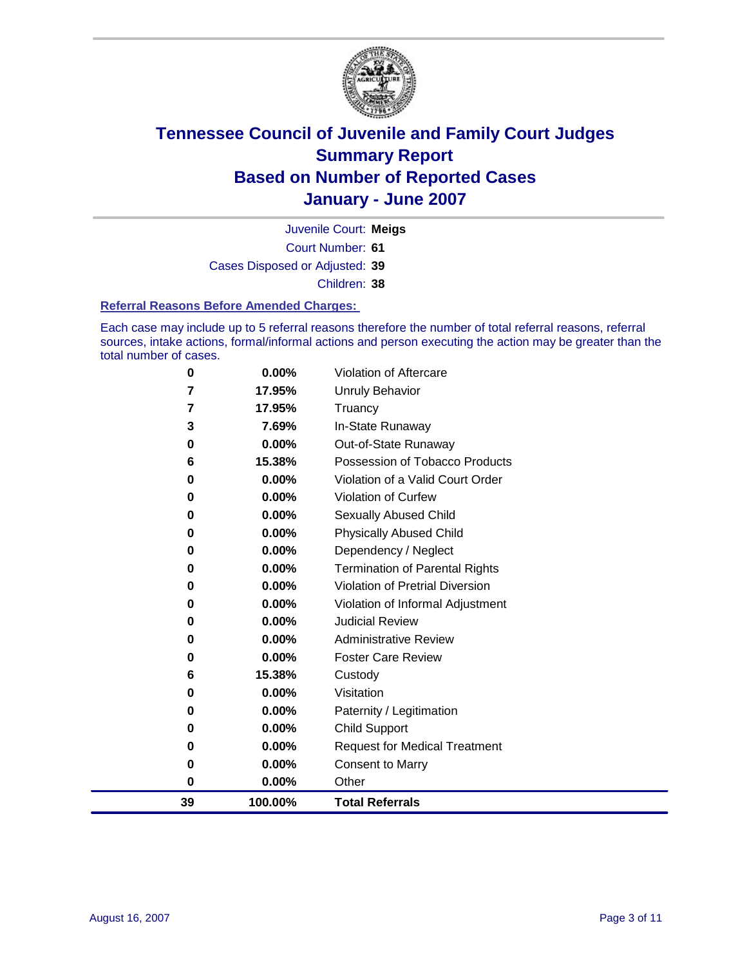

Court Number: **61** Juvenile Court: **Meigs** Cases Disposed or Adjusted: **39** Children: **38**

#### **Referral Reasons Before Amended Charges:**

Each case may include up to 5 referral reasons therefore the number of total referral reasons, referral sources, intake actions, formal/informal actions and person executing the action may be greater than the total number of cases.

| 0  | 0.00%    | Violation of Aftercare                 |
|----|----------|----------------------------------------|
| 7  | 17.95%   | Unruly Behavior                        |
| 7  | 17.95%   | Truancy                                |
| 3  | 7.69%    | In-State Runaway                       |
| 0  | 0.00%    | Out-of-State Runaway                   |
| 6  | 15.38%   | Possession of Tobacco Products         |
| 0  | 0.00%    | Violation of a Valid Court Order       |
| 0  | 0.00%    | Violation of Curfew                    |
| 0  | 0.00%    | <b>Sexually Abused Child</b>           |
| 0  | 0.00%    | <b>Physically Abused Child</b>         |
| 0  | 0.00%    | Dependency / Neglect                   |
| 0  | $0.00\%$ | <b>Termination of Parental Rights</b>  |
| 0  | $0.00\%$ | <b>Violation of Pretrial Diversion</b> |
| 0  | $0.00\%$ | Violation of Informal Adjustment       |
| 0  | 0.00%    | <b>Judicial Review</b>                 |
| 0  | 0.00%    | <b>Administrative Review</b>           |
| 0  | $0.00\%$ | <b>Foster Care Review</b>              |
| 6  | 15.38%   | Custody                                |
| 0  | 0.00%    | Visitation                             |
| 0  | 0.00%    | Paternity / Legitimation               |
| 0  | 0.00%    | <b>Child Support</b>                   |
| 0  | 0.00%    | <b>Request for Medical Treatment</b>   |
| 0  | 0.00%    | <b>Consent to Marry</b>                |
| 0  | 0.00%    | Other                                  |
| 39 | 100.00%  | <b>Total Referrals</b>                 |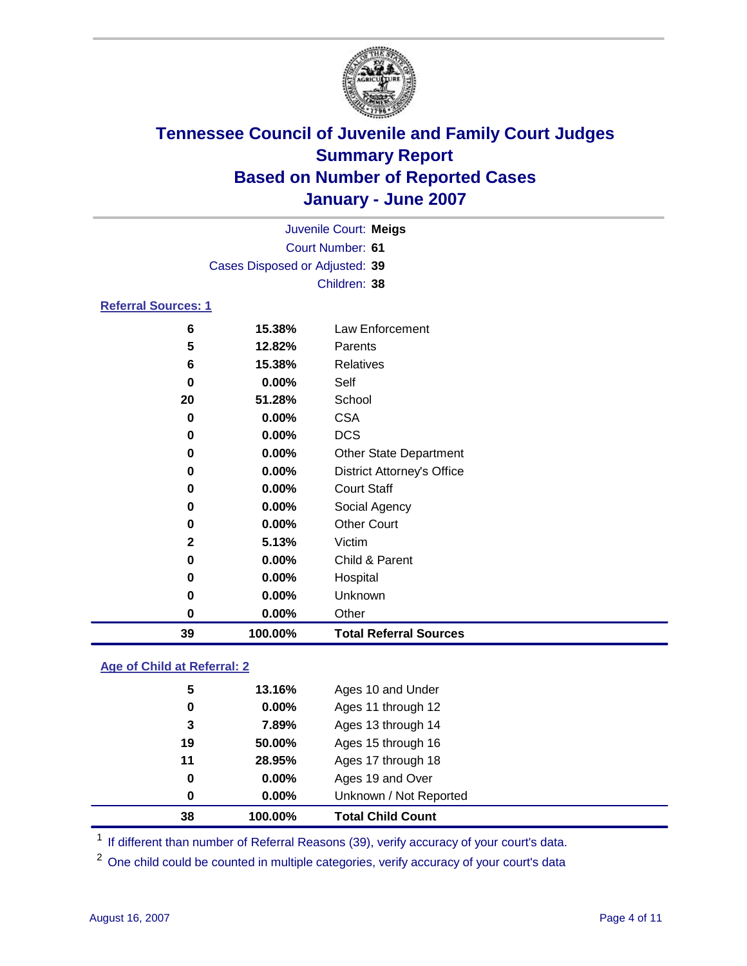

|                                | Juvenile Court: Meigs   |                                   |  |
|--------------------------------|-------------------------|-----------------------------------|--|
|                                | <b>Court Number: 61</b> |                                   |  |
| Cases Disposed or Adjusted: 39 |                         |                                   |  |
|                                |                         | Children: 38                      |  |
| <b>Referral Sources: 1</b>     |                         |                                   |  |
| 6                              | 15.38%                  | Law Enforcement                   |  |
| 5                              | 12.82%                  | Parents                           |  |
| 6                              | 15.38%                  | <b>Relatives</b>                  |  |
| 0                              | 0.00%                   | Self                              |  |
| 20                             | 51.28%                  | School                            |  |
| 0                              | 0.00%                   | <b>CSA</b>                        |  |
| 0                              | 0.00%                   | <b>DCS</b>                        |  |
| 0                              | 0.00%                   | <b>Other State Department</b>     |  |
| 0                              | 0.00%                   | <b>District Attorney's Office</b> |  |
| 0                              | 0.00%                   | <b>Court Staff</b>                |  |
| $\bf{0}$                       | 0.00%                   | Social Agency                     |  |
| 0                              | 0.00%                   | <b>Other Court</b>                |  |
| $\mathbf{2}$                   | 5.13%                   | Victim                            |  |
| 0                              | 0.00%                   | Child & Parent                    |  |
| 0                              | 0.00%                   | Hospital                          |  |
| $\bf{0}$                       | 0.00%                   | Unknown                           |  |
| $\bf{0}$                       | 0.00%                   | Other                             |  |
| 39                             | 100.00%                 | <b>Total Referral Sources</b>     |  |

### **Age of Child at Referral: 2**

| 38       | 100.00%  | <b>Total Child Count</b> |  |
|----------|----------|--------------------------|--|
| 0        | 0.00%    | Unknown / Not Reported   |  |
| $\bf{0}$ | 0.00%    | Ages 19 and Over         |  |
| 11       | 28.95%   | Ages 17 through 18       |  |
| 19       | 50.00%   | Ages 15 through 16       |  |
| 3        | 7.89%    | Ages 13 through 14       |  |
| 0        | $0.00\%$ | Ages 11 through 12       |  |
| 5        | 13.16%   | Ages 10 and Under        |  |
|          |          |                          |  |

<sup>1</sup> If different than number of Referral Reasons (39), verify accuracy of your court's data.

<sup>2</sup> One child could be counted in multiple categories, verify accuracy of your court's data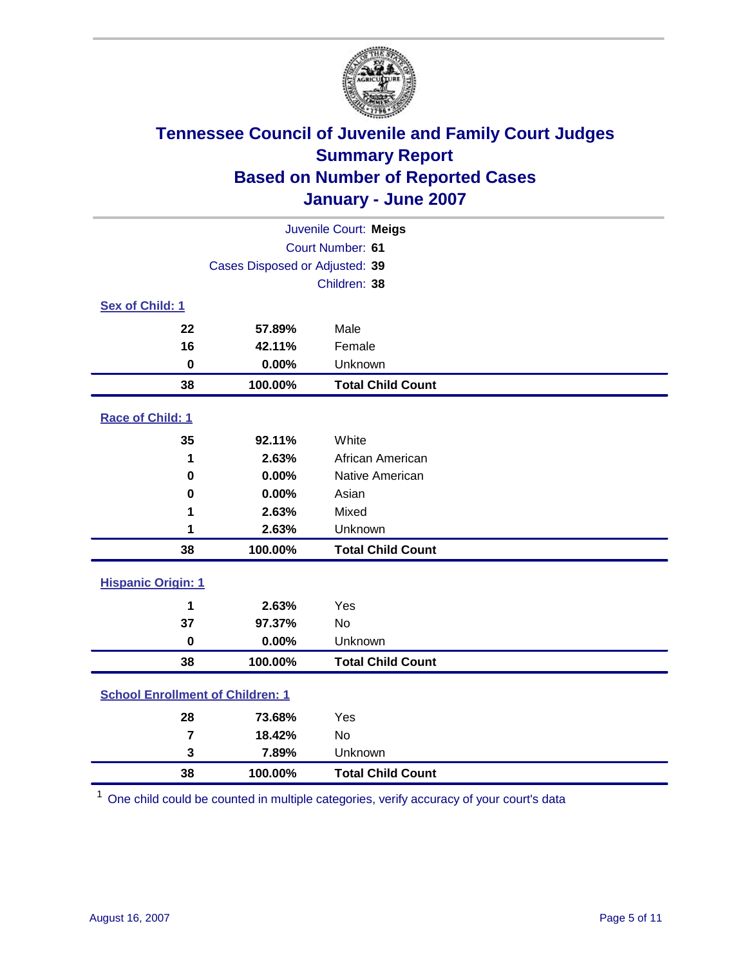

| Juvenile Court: Meigs                   |                                |                          |  |  |
|-----------------------------------------|--------------------------------|--------------------------|--|--|
|                                         | Court Number: 61               |                          |  |  |
|                                         | Cases Disposed or Adjusted: 39 |                          |  |  |
|                                         |                                | Children: 38             |  |  |
| Sex of Child: 1                         |                                |                          |  |  |
| 22                                      | 57.89%                         | Male                     |  |  |
| 16                                      | 42.11%                         | Female                   |  |  |
| $\mathbf 0$                             | 0.00%                          | Unknown                  |  |  |
| 38                                      | 100.00%                        | <b>Total Child Count</b> |  |  |
| <b>Race of Child: 1</b>                 |                                |                          |  |  |
| 35                                      | 92.11%                         | White                    |  |  |
| 1                                       | 2.63%                          | African American         |  |  |
| $\bf{0}$                                | 0.00%                          | Native American          |  |  |
| $\bf{0}$                                | 0.00%                          | Asian                    |  |  |
| 1                                       | 2.63%                          | Mixed                    |  |  |
| 1                                       | 2.63%                          | Unknown                  |  |  |
| 38                                      | 100.00%                        | <b>Total Child Count</b> |  |  |
| <b>Hispanic Origin: 1</b>               |                                |                          |  |  |
| 1                                       | 2.63%                          | Yes                      |  |  |
| 37                                      | 97.37%                         | No                       |  |  |
| $\mathbf 0$                             | 0.00%                          | Unknown                  |  |  |
| 38                                      | 100.00%                        | <b>Total Child Count</b> |  |  |
| <b>School Enrollment of Children: 1</b> |                                |                          |  |  |
| 28                                      | 73.68%                         | Yes                      |  |  |
| $\overline{\mathbf{r}}$                 | 18.42%                         | No                       |  |  |
| 3                                       | 7.89%                          | Unknown                  |  |  |
| 38                                      | 100.00%                        | <b>Total Child Count</b> |  |  |

<sup>1</sup> One child could be counted in multiple categories, verify accuracy of your court's data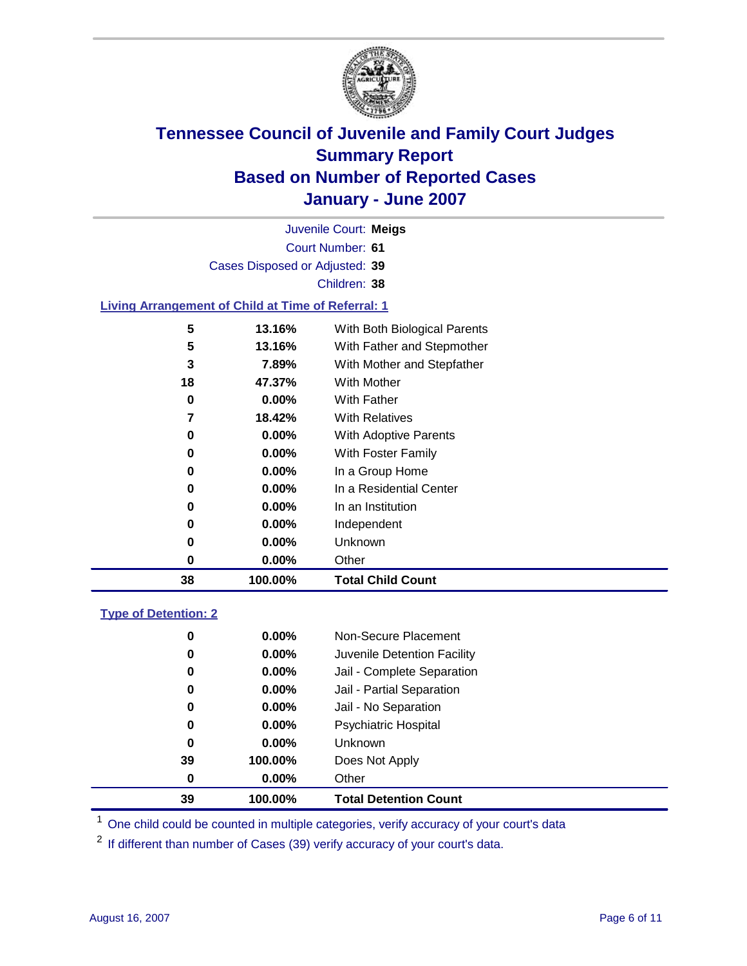

|                                                           |                                | Juvenile Court: Meigs        |  |
|-----------------------------------------------------------|--------------------------------|------------------------------|--|
|                                                           |                                | Court Number: 61             |  |
|                                                           | Cases Disposed or Adjusted: 39 |                              |  |
|                                                           |                                | Children: 38                 |  |
| <b>Living Arrangement of Child at Time of Referral: 1</b> |                                |                              |  |
| 5                                                         | 13.16%                         | With Both Biological Parents |  |
| 5                                                         | 13.16%                         | With Father and Stepmother   |  |
| 3                                                         | 7.89%                          | With Mother and Stepfather   |  |
| 18                                                        | 47.37%                         | With Mother                  |  |
| 0                                                         | $0.00\%$                       | With Father                  |  |
| 7                                                         | 18.42%                         | <b>With Relatives</b>        |  |
| 0                                                         | $0.00\%$                       | <b>With Adoptive Parents</b> |  |
| 0                                                         | $0.00\%$                       | With Foster Family           |  |
| 0                                                         | $0.00\%$                       | In a Group Home              |  |
| 0                                                         | $0.00\%$                       | In a Residential Center      |  |
| 0                                                         | $0.00\%$                       | In an Institution            |  |
| 0                                                         | $0.00\%$                       | Independent                  |  |
| 0                                                         | $0.00\%$                       | <b>Unknown</b>               |  |
| 0                                                         | $0.00\%$                       | Other                        |  |

### **Type of Detention: 2**

| 39 | 100.00%  | <b>Total Detention Count</b> |
|----|----------|------------------------------|
| 0  | $0.00\%$ | Other                        |
| 39 | 100.00%  | Does Not Apply               |
| 0  | $0.00\%$ | <b>Unknown</b>               |
| 0  | $0.00\%$ | Psychiatric Hospital         |
| 0  | $0.00\%$ | Jail - No Separation         |
| 0  | $0.00\%$ | Jail - Partial Separation    |
| 0  | $0.00\%$ | Jail - Complete Separation   |
| 0  | 0.00%    | Juvenile Detention Facility  |
| 0  | $0.00\%$ | Non-Secure Placement         |
|    |          |                              |

<sup>1</sup> One child could be counted in multiple categories, verify accuracy of your court's data

<sup>2</sup> If different than number of Cases (39) verify accuracy of your court's data.

**100.00% Total Child Count**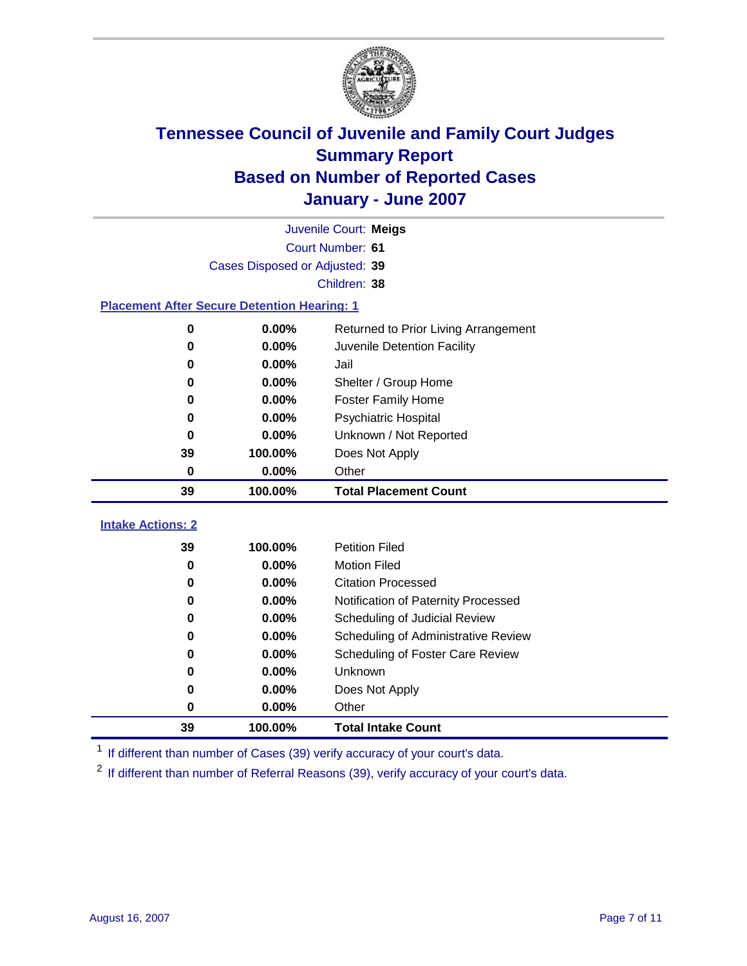

|                                                    | Juvenile Court: Meigs          |                                      |  |  |
|----------------------------------------------------|--------------------------------|--------------------------------------|--|--|
|                                                    | Court Number: 61               |                                      |  |  |
|                                                    | Cases Disposed or Adjusted: 39 |                                      |  |  |
|                                                    |                                | Children: 38                         |  |  |
| <b>Placement After Secure Detention Hearing: 1</b> |                                |                                      |  |  |
| 0                                                  | 0.00%                          | Returned to Prior Living Arrangement |  |  |
| $\bf{0}$                                           | 0.00%                          | Juvenile Detention Facility          |  |  |
| 0                                                  | 0.00%                          | Jail                                 |  |  |
| 0                                                  | 0.00%                          | Shelter / Group Home                 |  |  |
| 0                                                  | 0.00%                          | <b>Foster Family Home</b>            |  |  |
| 0                                                  | 0.00%                          | Psychiatric Hospital                 |  |  |
| 0                                                  | 0.00%                          | Unknown / Not Reported               |  |  |
| 39                                                 | 100.00%                        | Does Not Apply                       |  |  |
| 0                                                  | 0.00%                          | Other                                |  |  |
| 39                                                 | 100.00%                        | <b>Total Placement Count</b>         |  |  |
| <b>Intake Actions: 2</b>                           |                                |                                      |  |  |
| 39                                                 | 100.00%                        | <b>Petition Filed</b>                |  |  |
| $\bf{0}$                                           | 0.00%                          | <b>Motion Filed</b>                  |  |  |
| $\bf{0}$                                           | 0.00%                          | <b>Citation Processed</b>            |  |  |
| 0                                                  | 0.00%                          | Notification of Paternity Processed  |  |  |
| $\bf{0}$                                           | 0.00%                          | Scheduling of Judicial Review        |  |  |
| 0                                                  | 0.00%                          | Scheduling of Administrative Review  |  |  |
| 0                                                  | 0.00%                          | Scheduling of Foster Care Review     |  |  |
| 0                                                  | $0.00\%$                       | Unknown                              |  |  |
| 0                                                  | 0.00%                          | Does Not Apply                       |  |  |
| 0                                                  | 0.00%                          | Other                                |  |  |
| 39<br>100.00%<br><b>Total Intake Count</b>         |                                |                                      |  |  |

<sup>1</sup> If different than number of Cases (39) verify accuracy of your court's data.

<sup>2</sup> If different than number of Referral Reasons (39), verify accuracy of your court's data.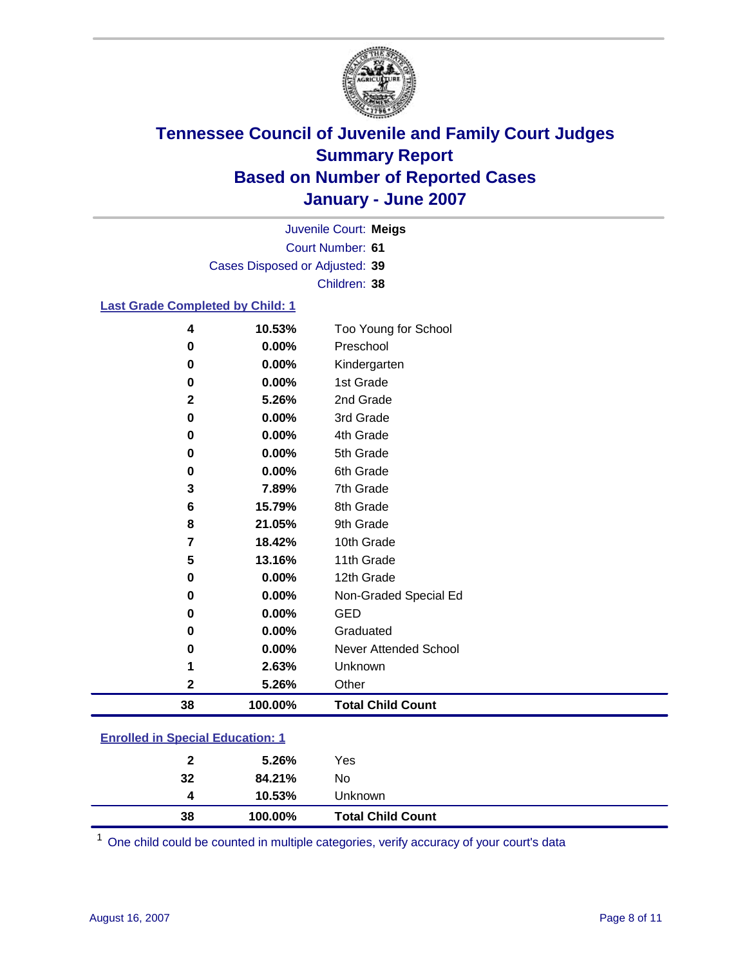

Court Number: **61** Juvenile Court: **Meigs** Cases Disposed or Adjusted: **39** Children: **38**

#### **Last Grade Completed by Child: 1**

| 4            | 10.53%  | Too Young for School     |
|--------------|---------|--------------------------|
| 0            | 0.00%   | Preschool                |
| $\bf{0}$     | 0.00%   | Kindergarten             |
| $\bf{0}$     | 0.00%   | 1st Grade                |
| $\mathbf{2}$ | 5.26%   | 2nd Grade                |
| $\bf{0}$     | 0.00%   | 3rd Grade                |
| 0            | 0.00%   | 4th Grade                |
| 0            | 0.00%   | 5th Grade                |
| 0            | 0.00%   | 6th Grade                |
| 3            | 7.89%   | 7th Grade                |
| 6            | 15.79%  | 8th Grade                |
| 8            | 21.05%  | 9th Grade                |
| 7            | 18.42%  | 10th Grade               |
| 5            | 13.16%  | 11th Grade               |
| 0            | 0.00%   | 12th Grade               |
| 0            | 0.00%   | Non-Graded Special Ed    |
| $\bf{0}$     | 0.00%   | <b>GED</b>               |
| 0            | 0.00%   | Graduated                |
| 0            | 0.00%   | Never Attended School    |
|              | 2.63%   | Unknown                  |
| 2            | 5.26%   | Other                    |
| 38           | 100.00% | <b>Total Child Count</b> |

### **Enrolled in Special Education: 1**

| 38           | 100.00% | <b>Total Child Count</b> |  |
|--------------|---------|--------------------------|--|
| 4            | 10.53%  | Unknown                  |  |
| 32           | 84.21%  | No                       |  |
| $\mathbf{2}$ | 5.26%   | Yes                      |  |
|              |         |                          |  |

<sup>1</sup> One child could be counted in multiple categories, verify accuracy of your court's data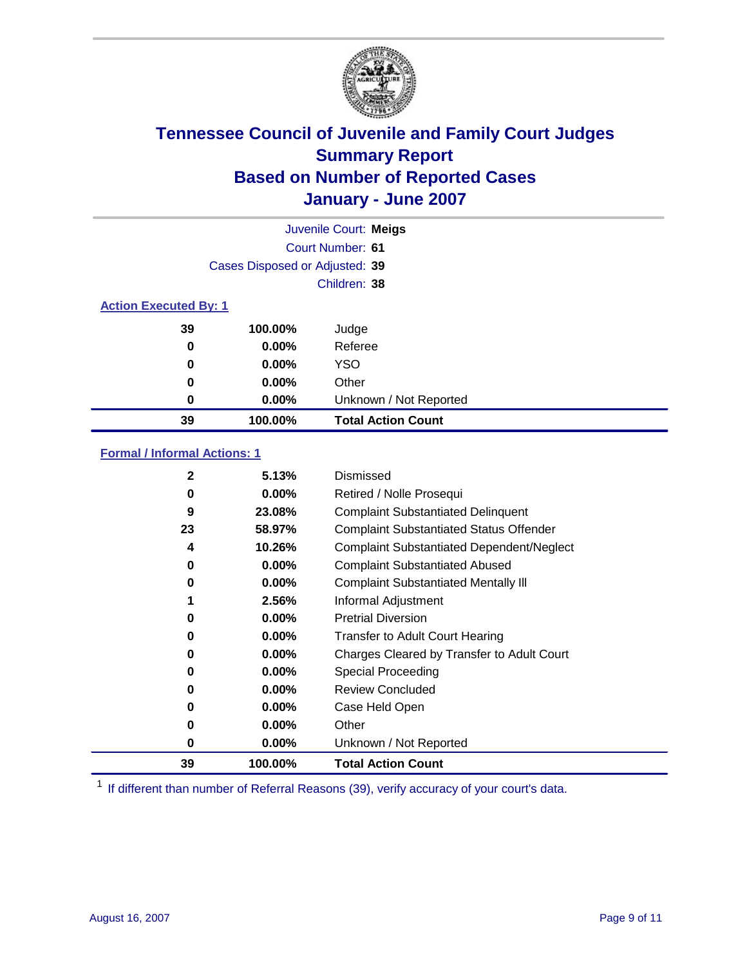

|                              | Juvenile Court: Meigs          |                           |  |  |
|------------------------------|--------------------------------|---------------------------|--|--|
|                              |                                | Court Number: 61          |  |  |
|                              | Cases Disposed or Adjusted: 39 |                           |  |  |
|                              |                                | Children: 38              |  |  |
| <b>Action Executed By: 1</b> |                                |                           |  |  |
| 39                           | 100.00%                        | Judge                     |  |  |
| 0                            | $0.00\%$                       | Referee                   |  |  |
| 0                            | $0.00\%$                       | <b>YSO</b>                |  |  |
| 0                            | $0.00\%$                       | Other                     |  |  |
| 0                            | $0.00\%$                       | Unknown / Not Reported    |  |  |
| 39                           | 100.00%                        | <b>Total Action Count</b> |  |  |

### **Formal / Informal Actions: 1**

| 2  | 5.13%    | Dismissed                                        |
|----|----------|--------------------------------------------------|
| 0  | $0.00\%$ | Retired / Nolle Prosequi                         |
| 9  | 23.08%   | <b>Complaint Substantiated Delinquent</b>        |
| 23 | 58.97%   | <b>Complaint Substantiated Status Offender</b>   |
| 4  | 10.26%   | <b>Complaint Substantiated Dependent/Neglect</b> |
| 0  | $0.00\%$ | <b>Complaint Substantiated Abused</b>            |
| 0  | $0.00\%$ | <b>Complaint Substantiated Mentally III</b>      |
|    | 2.56%    | Informal Adjustment                              |
| 0  | $0.00\%$ | <b>Pretrial Diversion</b>                        |
| 0  | $0.00\%$ | <b>Transfer to Adult Court Hearing</b>           |
| 0  | $0.00\%$ | Charges Cleared by Transfer to Adult Court       |
| 0  | $0.00\%$ | Special Proceeding                               |
| 0  | $0.00\%$ | <b>Review Concluded</b>                          |
| 0  | $0.00\%$ | Case Held Open                                   |
| 0  | $0.00\%$ | Other                                            |
| 0  | $0.00\%$ | Unknown / Not Reported                           |
| 39 | 100.00%  | <b>Total Action Count</b>                        |

<sup>1</sup> If different than number of Referral Reasons (39), verify accuracy of your court's data.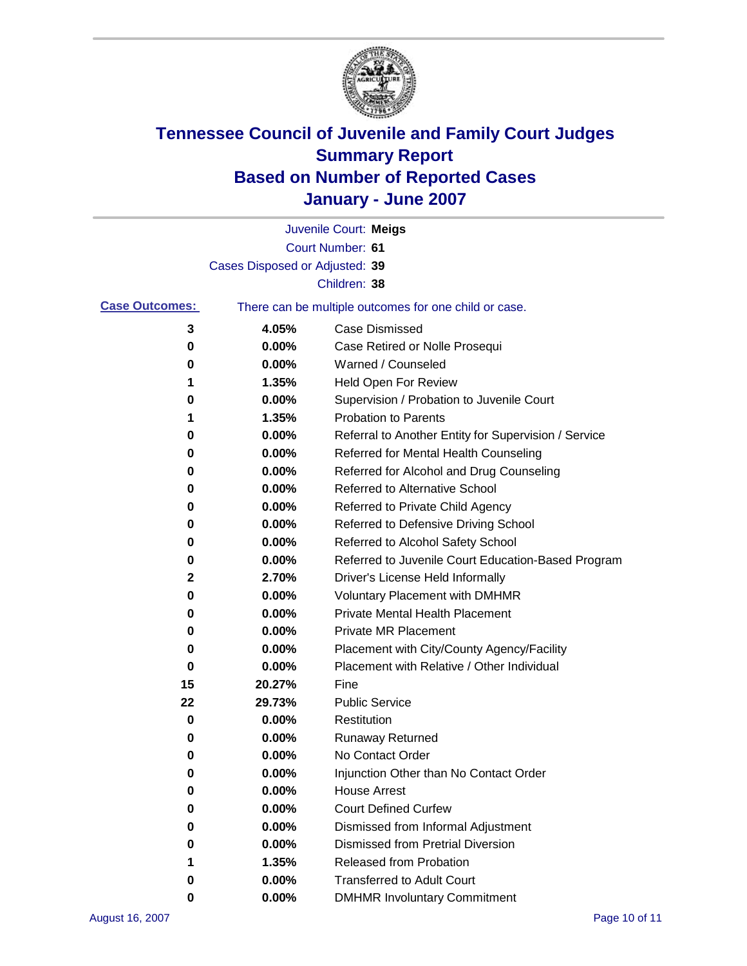

|                       |                                | Juvenile Court: Meigs                                 |
|-----------------------|--------------------------------|-------------------------------------------------------|
|                       |                                | Court Number: 61                                      |
|                       | Cases Disposed or Adjusted: 39 |                                                       |
|                       |                                | Children: 38                                          |
| <b>Case Outcomes:</b> |                                | There can be multiple outcomes for one child or case. |
| 3                     | 4.05%                          | <b>Case Dismissed</b>                                 |
| 0                     | 0.00%                          | Case Retired or Nolle Prosequi                        |
| 0                     | 0.00%                          | Warned / Counseled                                    |
| 1                     | 1.35%                          | Held Open For Review                                  |
| 0                     | 0.00%                          | Supervision / Probation to Juvenile Court             |
| 1                     | 1.35%                          | <b>Probation to Parents</b>                           |
| 0                     | 0.00%                          | Referral to Another Entity for Supervision / Service  |
| 0                     | 0.00%                          | Referred for Mental Health Counseling                 |
| 0                     | 0.00%                          | Referred for Alcohol and Drug Counseling              |
| 0                     | 0.00%                          | <b>Referred to Alternative School</b>                 |
| 0                     | 0.00%                          | Referred to Private Child Agency                      |
| 0                     | 0.00%                          | Referred to Defensive Driving School                  |
| 0                     | 0.00%                          | Referred to Alcohol Safety School                     |
| 0                     | 0.00%                          | Referred to Juvenile Court Education-Based Program    |
| 2                     | 2.70%                          | Driver's License Held Informally                      |
| 0                     | 0.00%                          | <b>Voluntary Placement with DMHMR</b>                 |
| 0                     | 0.00%                          | <b>Private Mental Health Placement</b>                |
| 0                     | 0.00%                          | <b>Private MR Placement</b>                           |
| 0                     | 0.00%                          | Placement with City/County Agency/Facility            |
| 0                     | 0.00%                          | Placement with Relative / Other Individual            |
| 15                    | 20.27%                         | Fine                                                  |
| 22                    | 29.73%                         | <b>Public Service</b>                                 |
| 0                     | 0.00%                          | Restitution                                           |
| 0                     | 0.00%                          | Runaway Returned                                      |
| 0                     | 0.00%                          | No Contact Order                                      |
| 0                     | $0.00\%$                       | Injunction Other than No Contact Order                |
| 0                     | 0.00%                          | <b>House Arrest</b>                                   |
| 0                     | 0.00%                          | <b>Court Defined Curfew</b>                           |
| 0                     | 0.00%                          | Dismissed from Informal Adjustment                    |
| 0                     | 0.00%                          | <b>Dismissed from Pretrial Diversion</b>              |
| 1                     | 1.35%                          | Released from Probation                               |
| 0                     | 0.00%                          | <b>Transferred to Adult Court</b>                     |
| 0                     | 0.00%                          | <b>DMHMR Involuntary Commitment</b>                   |